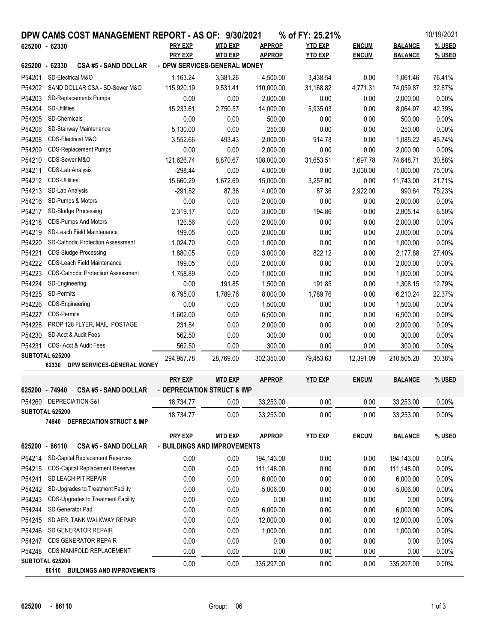|                                            |                                    | DPW CAMS COST MANAGEMENT REPORT - AS OF: 9/30/2021 |                              |                |               | % of FY: 25.21% |              |                | 10/19/2021 |
|--------------------------------------------|------------------------------------|----------------------------------------------------|------------------------------|----------------|---------------|-----------------|--------------|----------------|------------|
| 625200 - 62330                             |                                    |                                                    | <b>PRY EXP</b>               | <b>MTD EXP</b> | <b>APPROP</b> | <b>YTD EXP</b>  | <b>ENCUM</b> | <b>BALANCE</b> | % USED     |
|                                            |                                    |                                                    | <b>PRY EXP</b>               | <b>MTD EXP</b> | <b>APPROP</b> | <b>YTD EXP</b>  | <b>ENCUM</b> | <b>BALANCE</b> | % USED     |
| 625200 - 62330                             |                                    | <b>CSA #5 - SAND DOLLAR</b>                        | - DPW SERVICES-GENERAL MONEY |                |               |                 |              |                |            |
| P54201                                     | SD-Electrical M&O                  |                                                    | 1,163.24                     | 3,381.26       | 4,500.00      | 3,438.54        | 0.00         | 1,061.46       | 76.41%     |
| P54202                                     | SAND DOLLAR CSA - SD-Sewer M&O     |                                                    | 115,920.19                   | 9,531.41       | 110,000.00    | 31,168.82       | 4,771.31     | 74,059.87      | 32.67%     |
| P54203                                     | SD-Replacements Pumps              |                                                    | 0.00                         | 0.00           | 2,000.00      | 0.00            | 0.00         | 2,000.00       | 0.00%      |
| P54204                                     | <b>SD-Utilities</b>                |                                                    | 15,233.61                    | 2,750.57       | 14,000.00     | 5,935.03        | 0.00         | 8,064.97       | 42.39%     |
| P54205                                     | SD-Chemicals                       |                                                    | 0.00                         | 0.00           | 500.00        | 0.00            | 0.00         | 500.00         | 0.00%      |
| P54206                                     |                                    | SD-Stairway Maintenance                            | 5,130.00                     | 0.00           | 250.00        | 0.00            | 0.00         | 250.00         | 0.00%      |
| P54208                                     | CDS-Electrical M&O                 |                                                    | 3,552.66                     | 493.43         | 2,000.00      | 914.78          | 0.00         | 1,085.22       | 45.74%     |
| P54209                                     |                                    | <b>CDS-Replacement Pumps</b>                       | 0.00                         | 0.00           | 2,000.00      | 0.00            | 0.00         | 2,000.00       | 0.00%      |
| P54210                                     | CDS-Sewer M&O                      |                                                    | 121,626.74                   | 8,870.67       | 108,000.00    | 31,653.51       | 1,697.78     | 74,648.71      | 30.88%     |
| P54211                                     | <b>CDS-Lab Analysis</b>            |                                                    | $-298.44$                    | 0.00           | 4,000.00      | 0.00            | 3,000.00     | 1,000.00       | 75.00%     |
| P54212                                     | <b>CDS-Utilities</b>               |                                                    | 15,660.29                    | 1,672.69       | 15,000.00     | 3,257.00        | 0.00         | 11,743.00      | 21.71%     |
| P54213                                     | SD-Lab Analysis                    |                                                    | $-291.82$                    | 87.36          | 4,000.00      | 87.36           | 2,922.00     | 990.64         | 75.23%     |
| P54216                                     | SD-Pumps & Motors                  |                                                    | 0.00                         | 0.00           | 2,000.00      | 0.00            | 0.00         | 2,000.00       | 0.00%      |
| P54217                                     | SD-Sludge Processing               |                                                    | 2,319.17                     | 0.00           | 3,000.00      | 194.86          | 0.00         | 2,805.14       | 6.50%      |
| P54218                                     |                                    | <b>CDS-Pumps And Motors</b>                        | 126.56                       | 0.00           | 2,000.00      | 0.00            | 0.00         | 2,000.00       | 0.00%      |
| P54219                                     |                                    | SD-Leach Field Maintenance                         | 199.05                       | 0.00           | 2,000.00      | 0.00            | 0.00         | 2,000.00       | 0.00%      |
| P54220                                     |                                    | <b>SD-Cathodic Protection Assessment</b>           | 1,024.70                     | 0.00           | 1,000.00      | 0.00            | 0.00         | 1,000.00       | 0.00%      |
| P54221                                     |                                    | <b>CDS-Sludge Processing</b>                       | 1,880.05                     | 0.00           | 3,000.00      | 822.12          | 0.00         | 2,177.88       | 27.40%     |
| P54222                                     |                                    | <b>CDS-Leach Field Maintenance</b>                 | 199.05                       | 0.00           | 2,000.00      | 0.00            | 0.00         | 2,000.00       | 0.00%      |
| P54223                                     |                                    | <b>CDS-Cathodic Protection Assessment</b>          | 1,758.89                     | 0.00           | 1,000.00      | 0.00            | 0.00         | 1,000.00       | 0.00%      |
| P54224                                     | SD-Engineering                     |                                                    | 0.00                         | 191.85         | 1,500.00      | 191.85          | 0.00         | 1,308.15       | 12.79%     |
| P54225                                     | SD-Permits                         |                                                    | 6,795.00                     | 1,789.76       | 8,000.00      | 1,789.76        | 0.00         | 6,210.24       | 22.37%     |
| P54226                                     | CDS-Engineering                    |                                                    | 0.00                         | 0.00           | 1,500.00      | 0.00            | 0.00         | 1,500.00       | 0.00%      |
| P54227                                     | <b>CDS-Permits</b>                 |                                                    | 1,602.00                     | 0.00           | 6,500.00      | 0.00            | 0.00         | 6,500.00       | 0.00%      |
| P54228                                     |                                    | PROP 128 FLYER, MAIL, POSTAGE                      | 231.84                       | 0.00           | 2,000.00      | 0.00            | 0.00         | 2,000.00       | 0.00%      |
| P54230                                     |                                    | SD-Acct & Audit Fees                               | 562.50                       | 0.00           | 300.00        | 0.00            | 0.00         | 300.00         | 0.00%      |
| P54231                                     | CDS- Acct & Audit Fees             |                                                    | 562.50                       | 0.00           | 300.00        | 0.00            | 0.00         | 300.00         | 0.00%      |
| SUBTOTAL 625200                            |                                    | 294,957.78                                         | 28,769.00                    | 302,350.00     | 79,453.63     | 12,391.09       | 210,505.28   | 30.38%         |            |
|                                            | 62330                              | DPW SERVICES-GENERAL MONEY                         |                              |                |               |                 |              |                |            |
|                                            |                                    |                                                    | <b>PRY EXP</b>               | <b>MTD EXP</b> | <b>APPROP</b> | <b>YTD EXP</b>  | <b>ENCUM</b> | <b>BALANCE</b> | % USED     |
| 625200 - 74940                             |                                    | <b>CSA #5 - SAND DOLLAR</b>                        | - DEPRECIATION STRUCT & IMP  |                |               |                 |              |                |            |
|                                            |                                    | P54260 DEPRECIATION-S&I                            |                              |                |               | 0.00            |              |                | 0.00%      |
| SUBTOTAL 625200                            |                                    |                                                    | 18,734.77                    | 0.00           | 33,253.00     |                 | 0.00         | 33,253.00      |            |
|                                            |                                    | <b>74940 DEPRECIATION STRUCT &amp; IMP</b>         | 18,734.77                    | 0.00           | 33,253.00     | 0.00            | 0.00         | 33,253.00      | 0.00%      |
|                                            |                                    |                                                    |                              |                |               |                 |              |                |            |
|                                            |                                    |                                                    | <b>PRY EXP</b>               | <b>MTD EXP</b> | <b>APPROP</b> | <b>YTD EXP</b>  | <b>ENCUM</b> | <b>BALANCE</b> | % USED     |
| 625200 - 86110                             |                                    | <b>CSA #5 - SAND DOLLAR</b>                        | - BUILDINGS AND IMPROVEMENTS |                |               |                 |              |                |            |
| P54214                                     |                                    | SD-Capital Replacement Reserves                    | 0.00                         | 0.00           | 194,143.00    | 0.00            | 0.00         | 194,143.00     | 0.00%      |
| P54215                                     |                                    | <b>CDS-Capital Replacement Reserves</b>            | 0.00                         | 0.00           | 111,148.00    | 0.00            | 0.00         | 111,148.00     | 0.00%      |
| P54241                                     |                                    | SD LEACH PIT REPAIR                                | 0.00                         | 0.00           | 6,000.00      | 0.00            | 0.00         | 6,000.00       | 0.00%      |
| P54242                                     | SD-Upgrades to Treatment Facility  |                                                    | 0.00                         | 0.00           | 5,006.00      | 0.00            | 0.00         | 5,006.00       | 0.00%      |
| P54243                                     | CDS-Upgrades to Treatment Facility |                                                    | 0.00                         | 0.00           | 0.00          | 0.00            | 0.00         | 0.00           | 0.00%      |
| P54244                                     | SD Generator Pad                   |                                                    | 0.00                         | 0.00           | 6,000.00      | 0.00            | 0.00         | 6,000.00       | 0.00%      |
| P54245                                     | SD AER. TANK WALKWAY REPAIR        |                                                    | 0.00                         | 0.00           | 12,000.00     | 0.00            | 0.00         | 12,000.00      | 0.00%      |
| P54246                                     | SD GENERATOR REPAIR                |                                                    | 0.00                         | 0.00           | 1,000.00      | 0.00            | 0.00         | 1,000.00       | 0.00%      |
| P54247                                     |                                    | <b>CDS GENERATOR REPAIR</b>                        | 0.00                         | 0.00           | 0.00          | 0.00            | 0.00         | 0.00           | 0.00%      |
| P54248                                     | CDS MANIFOLD REPLACEMENT           |                                                    | 0.00                         | 0.00           | 0.00          | 0.00            | 0.00         | 0.00           | 0.00%      |
| SUBTOTAL 625200                            |                                    |                                                    | 0.00                         | 0.00           | 335,297.00    | 0.00            | 0.00         | 335,297.00     | 0.00%      |
| <b>BUILDINGS AND IMPROVEMENTS</b><br>86110 |                                    |                                                    |                              |                |               |                 |              |                |            |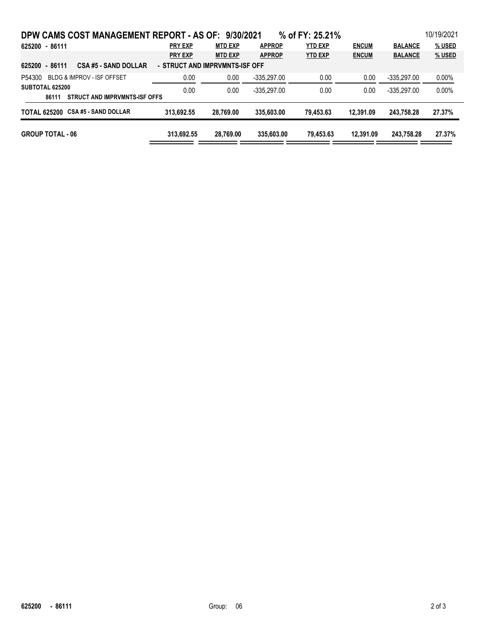| DPW CAMS COST MANAGEMENT REPORT - AS OF: 9/30/2021                              |                |                |               | % of FY: 25.21% |              |                | 10/19/2021 |  |
|---------------------------------------------------------------------------------|----------------|----------------|---------------|-----------------|--------------|----------------|------------|--|
| 625200 - 86111                                                                  | <b>PRY EXP</b> | <b>MTD EXP</b> | <b>APPROP</b> | <b>YTD EXP</b>  | <b>ENCUM</b> | <b>BALANCE</b> | % USED     |  |
|                                                                                 | <b>PRY EXP</b> | <b>MTD EXP</b> | <b>APPROP</b> | <b>YTD EXP</b>  | <b>ENCUM</b> | <b>BALANCE</b> | $%$ USED   |  |
| 625200 - 86111<br><b>CSA #5 - SAND DOLLAR</b><br>- STRUCT AND IMPRVMNTS-ISF OFF |                |                |               |                 |              |                |            |  |
| <b>BLDG &amp; IMPROV - ISF OFFSET</b><br>P54300                                 | 0.00           | 0.00           | $-335,297.00$ | 0.00            | 0.00         | $-335.297.00$  | $0.00\%$   |  |
| SUBTOTAL 625200                                                                 | 0.00           | 0.00           | $-335.297.00$ | 0.00            | 0.00         | $-335.297.00$  | 0.00%      |  |
| STRUCT AND IMPRVMNTS-ISF OFFS<br>86111                                          |                |                |               |                 |              |                |            |  |
| TOTAL 625200 CSA #5 - SAND DOLLAR                                               | 313.692.55     | 28.769.00      | 335,603,00    | 79.453.63       | 12.391.09    | 243.758.28     | 27.37%     |  |
| <b>GROUP TOTAL - 06</b>                                                         | 313.692.55     | 28.769.00      | 335,603,00    | 79.453.63       | 12.391.09    | 243,758.28     | 27.37%     |  |